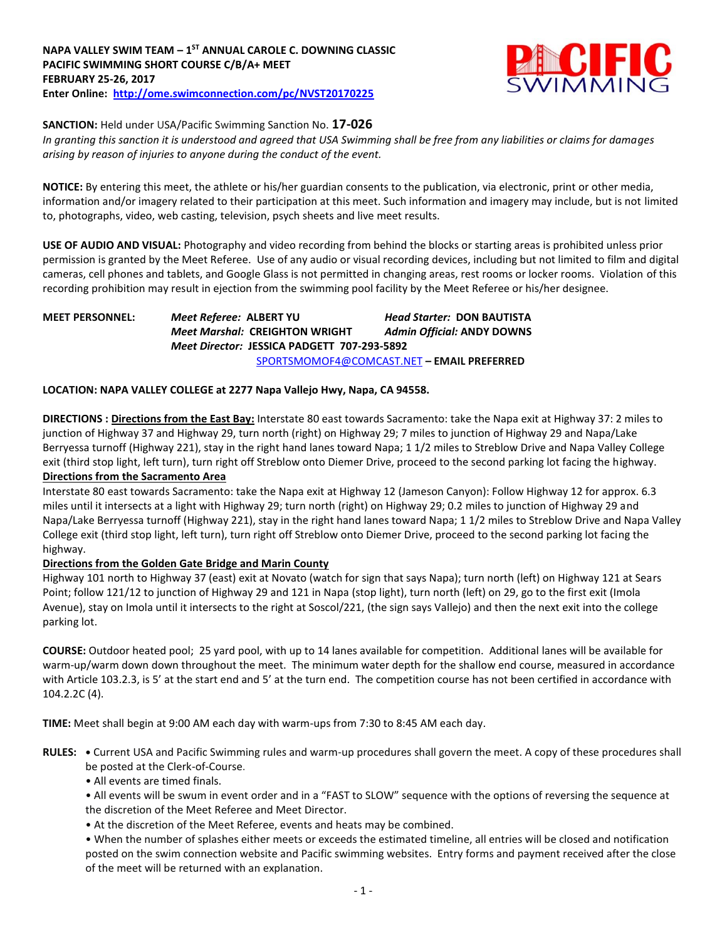

**SANCTION:** Held under USA/Pacific Swimming Sanction No. **17-026**

*In granting this sanction it is understood and agreed that USA Swimming shall be free from any liabilities or claims for damages arising by reason of injuries to anyone during the conduct of the event.*

**NOTICE:** By entering this meet, the athlete or his/her guardian consents to the publication, via electronic, print or other media, information and/or imagery related to their participation at this meet. Such information and imagery may include, but is not limited to, photographs, video, web casting, television, psych sheets and live meet results.

**USE OF AUDIO AND VISUAL:** Photography and video recording from behind the blocks or starting areas is prohibited unless prior permission is granted by the Meet Referee. Use of any audio or visual recording devices, including but not limited to film and digital cameras, cell phones and tablets, and Google Glass is not permitted in changing areas, rest rooms or locker rooms. Violation of this recording prohibition may result in ejection from the swimming pool facility by the Meet Referee or his/her designee.

**MEET PERSONNEL:** *Meet Referee:* **ALBERT YU** *Head Starter:* **DON BAUTISTA**  *Meet Marshal:* **CREIGHTON WRIGHT** *Admin Official:* **ANDY DOWNS** *Meet Director:* **JESSICA PADGETT 707-293-5892** [SPORTSMOMOF4@COMCAST.NET](mailto:SPORTSMOMOF4@COMCAST.NET) **– EMAIL PREFERRED** 

## **LOCATION: NAPA VALLEY COLLEGE at 2277 Napa Vallejo Hwy, Napa, CA 94558.**

**DIRECTIONS : Directions from the East Bay:** Interstate 80 east towards Sacramento: take the Napa exit at Highway 37: 2 miles to junction of Highway 37 and Highway 29, turn north (right) on Highway 29; 7 miles to junction of Highway 29 and Napa/Lake Berryessa turnoff (Highway 221), stay in the right hand lanes toward Napa; 1 1/2 miles to Streblow Drive and Napa Valley College exit (third stop light, left turn), turn right off Streblow onto Diemer Drive, proceed to the second parking lot facing the highway. **Directions from the Sacramento Area**

Interstate 80 east towards Sacramento: take the Napa exit at Highway 12 (Jameson Canyon): Follow Highway 12 for approx. 6.3 miles until it intersects at a light with Highway 29; turn north (right) on Highway 29; 0.2 miles to junction of Highway 29 and Napa/Lake Berryessa turnoff (Highway 221), stay in the right hand lanes toward Napa; 1 1/2 miles to Streblow Drive and Napa Valley College exit (third stop light, left turn), turn right off Streblow onto Diemer Drive, proceed to the second parking lot facing the highway.

## **Directions from the Golden Gate Bridge and Marin County**

Highway 101 north to Highway 37 (east) exit at Novato (watch for sign that says Napa); turn north (left) on Highway 121 at Sears Point; follow 121/12 to junction of Highway 29 and 121 in Napa (stop light), turn north (left) on 29, go to the first exit (Imola Avenue), stay on Imola until it intersects to the right at Soscol/221, (the sign says Vallejo) and then the next exit into the college parking lot.

**COURSE:** Outdoor heated pool; 25 yard pool, with up to 14 lanes available for competition. Additional lanes will be available for warm-up/warm down down throughout the meet. The minimum water depth for the shallow end course, measured in accordance with Article 103.2.3, is 5' at the start end and 5' at the turn end. The competition course has not been certified in accordance with 104.2.2C (4).

**TIME:** Meet shall begin at 9:00 AM each day with warm-ups from 7:30 to 8:45 AM each day.

- **RULES: •** Current USA and Pacific Swimming rules and warm-up procedures shall govern the meet. A copy of these procedures shall be posted at the Clerk-of-Course.
	- All events are timed finals.

• All events will be swum in event order and in a "FAST to SLOW" sequence with the options of reversing the sequence at the discretion of the Meet Referee and Meet Director.

• At the discretion of the Meet Referee, events and heats may be combined.

• When the number of splashes either meets or exceeds the estimated timeline, all entries will be closed and notification posted on the swim connection website and Pacific swimming websites. Entry forms and payment received after the close of the meet will be returned with an explanation.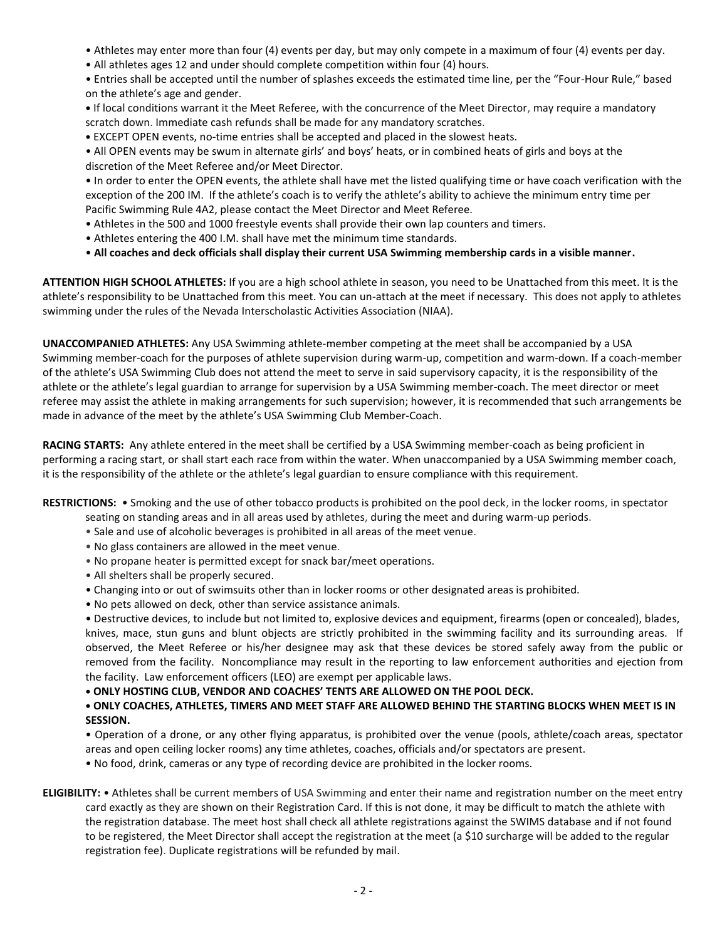- Athletes may enter more than four (4) events per day, but may only compete in a maximum of four (4) events per day.
- All athletes ages 12 and under should complete competition within four (4) hours.

• Entries shall be accepted until the number of splashes exceeds the estimated time line, per the "Four-Hour Rule," based on the athlete's age and gender.

- **•** If local conditions warrant it the Meet Referee, with the concurrence of the Meet Director, may require a mandatory scratch down. Immediate cash refunds shall be made for any mandatory scratches.
- **•** EXCEPT OPEN events, no-time entries shall be accepted and placed in the slowest heats.

• All OPEN events may be swum in alternate girls' and boys' heats, or in combined heats of girls and boys at the discretion of the Meet Referee and/or Meet Director.

• In order to enter the OPEN events, the athlete shall have met the listed qualifying time or have coach verification with the exception of the 200 IM. If the athlete's coach is to verify the athlete's ability to achieve the minimum entry time per Pacific Swimming Rule 4A2, please contact the Meet Director and Meet Referee.

- Athletes in the 500 and 1000 freestyle events shall provide their own lap counters and timers.
- Athletes entering the 400 I.M. shall have met the minimum time standards.
- **All coaches and deck officials shall display their current USA Swimming membership cards in a visible manner.**

**ATTENTION HIGH SCHOOL ATHLETES:** If you are a high school athlete in season, you need to be Unattached from this meet. It is the athlete's responsibility to be Unattached from this meet. You can un-attach at the meet if necessary. This does not apply to athletes swimming under the rules of the Nevada Interscholastic Activities Association (NIAA).

**UNACCOMPANIED ATHLETES:** Any USA Swimming athlete-member competing at the meet shall be accompanied by a USA Swimming member-coach for the purposes of athlete supervision during warm-up, competition and warm-down. If a coach-member of the athlete's USA Swimming Club does not attend the meet to serve in said supervisory capacity, it is the responsibility of the athlete or the athlete's legal guardian to arrange for supervision by a USA Swimming member-coach. The meet director or meet referee may assist the athlete in making arrangements for such supervision; however, it is recommended that such arrangements be made in advance of the meet by the athlete's USA Swimming Club Member-Coach.

**RACING STARTS:** Any athlete entered in the meet shall be certified by a USA Swimming member-coach as being proficient in performing a racing start, or shall start each race from within the water. When unaccompanied by a USA Swimming member coach, it is the responsibility of the athlete or the athlete's legal guardian to ensure compliance with this requirement.

**RESTRICTIONS:** • Smoking and the use of other tobacco products is prohibited on the pool deck, in the locker rooms, in spectator

seating on standing areas and in all areas used by athletes, during the meet and during warm-up periods.

- Sale and use of alcoholic beverages is prohibited in all areas of the meet venue.
- No glass containers are allowed in the meet venue.
- No propane heater is permitted except for snack bar/meet operations.
- All shelters shall be properly secured.
- Changing into or out of swimsuits other than in locker rooms or other designated areas is prohibited.
- No pets allowed on deck, other than service assistance animals.

• Destructive devices, to include but not limited to, explosive devices and equipment, firearms (open or concealed), blades, knives, mace, stun guns and blunt objects are strictly prohibited in the swimming facility and its surrounding areas. If observed, the Meet Referee or his/her designee may ask that these devices be stored safely away from the public or removed from the facility. Noncompliance may result in the reporting to law enforcement authorities and ejection from the facility. Law enforcement officers (LEO) are exempt per applicable laws.

**• ONLY HOSTING CLUB, VENDOR AND COACHES' TENTS ARE ALLOWED ON THE POOL DECK.**

## **• ONLY COACHES, ATHLETES, TIMERS AND MEET STAFF ARE ALLOWED BEHIND THE STARTING BLOCKS WHEN MEET IS IN SESSION.**

• Operation of a drone, or any other flying apparatus, is prohibited over the venue (pools, athlete/coach areas, spectator areas and open ceiling locker rooms) any time athletes, coaches, officials and/or spectators are present.

• No food, drink, cameras or any type of recording device are prohibited in the locker rooms.

**ELIGIBILITY:** • Athletes shall be current members of USA Swimming and enter their name and registration number on the meet entry card exactly as they are shown on their Registration Card. If this is not done, it may be difficult to match the athlete with the registration database. The meet host shall check all athlete registrations against the SWIMS database and if not found to be registered, the Meet Director shall accept the registration at the meet (a \$10 surcharge will be added to the regular registration fee). Duplicate registrations will be refunded by mail.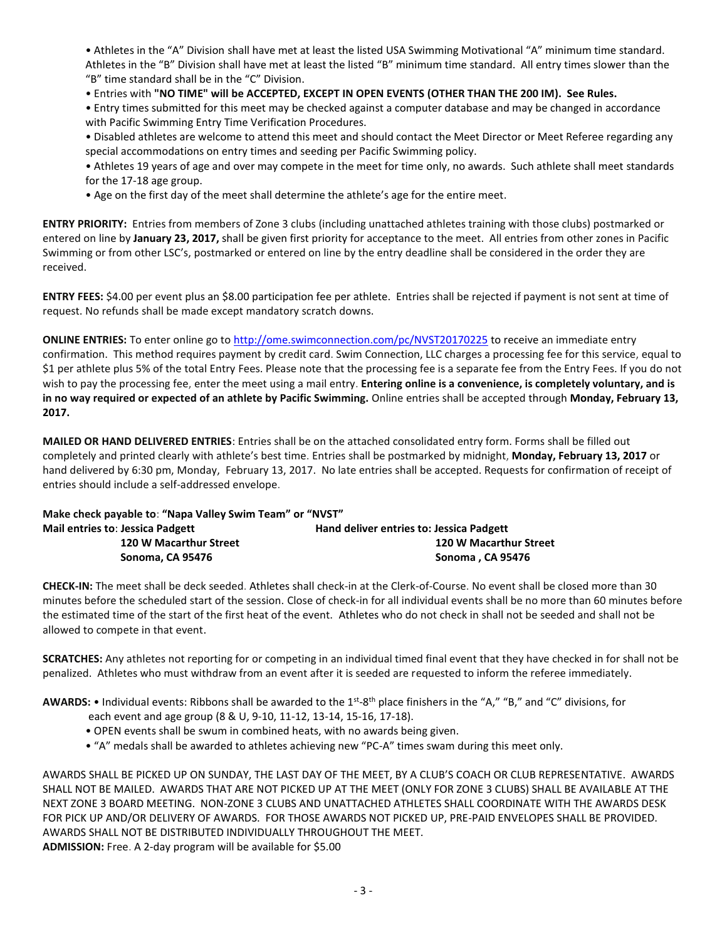• Athletes in the "A" Division shall have met at least the listed USA Swimming Motivational "A" minimum time standard. Athletes in the "B" Division shall have met at least the listed "B" minimum time standard. All entry times slower than the "B" time standard shall be in the "C" Division.

• Entries with **"NO TIME" will be ACCEPTED, EXCEPT IN OPEN EVENTS (OTHER THAN THE 200 IM). See Rules.**

• Entry times submitted for this meet may be checked against a computer database and may be changed in accordance with Pacific Swimming Entry Time Verification Procedures.

• Disabled athletes are welcome to attend this meet and should contact the Meet Director or Meet Referee regarding any special accommodations on entry times and seeding per Pacific Swimming policy.

- Athletes 19 years of age and over may compete in the meet for time only, no awards. Such athlete shall meet standards for the 17-18 age group.
- Age on the first day of the meet shall determine the athlete's age for the entire meet.

**ENTRY PRIORITY:** Entries from members of Zone 3 clubs (including unattached athletes training with those clubs) postmarked or entered on line by **January 23, 2017,** shall be given first priority for acceptance to the meet. All entries from other zones in Pacific Swimming or from other LSC's, postmarked or entered on line by the entry deadline shall be considered in the order they are received.

**ENTRY FEES:** \$4.00 per event plus an \$8.00 participation fee per athlete. Entries shall be rejected if payment is not sent at time of request. No refunds shall be made except mandatory scratch downs.

**ONLINE ENTRIES:** To enter online go t[o http://ome.swimconnection.com/pc/NVST20170225](http://ome.swimconnection.com/pc/NVST20170225) to receive an immediate entry confirmation. This method requires payment by credit card. Swim Connection, LLC charges a processing fee for this service, equal to \$1 per athlete plus 5% of the total Entry Fees. Please note that the processing fee is a separate fee from the Entry Fees. If you do not wish to pay the processing fee, enter the meet using a mail entry. **Entering online is a convenience, is completely voluntary, and is in no way required or expected of an athlete by Pacific Swimming.** Online entries shall be accepted through **Monday, February 13, 2017.**

**MAILED OR HAND DELIVERED ENTRIES**: Entries shall be on the attached consolidated entry form. Forms shall be filled out completely and printed clearly with athlete's best time. Entries shall be postmarked by midnight, **Monday, February 13, 2017** or hand delivered by 6:30 pm, Monday, February 13, 2017. No late entries shall be accepted. Requests for confirmation of receipt of entries should include a self-addressed envelope.

| Make check payable to: "Napa Valley Swim Team" or "NVST" |                                          |  |  |  |  |
|----------------------------------------------------------|------------------------------------------|--|--|--|--|
| <b>Mail entries to: Jessica Padgett</b>                  | Hand deliver entries to: Jessica Padgett |  |  |  |  |
| 120 W Macarthur Street                                   | 120 W Macarthur Street                   |  |  |  |  |
| Sonoma, CA 95476                                         | Sonoma, CA 95476                         |  |  |  |  |

**CHECK-IN:** The meet shall be deck seeded. Athletes shall check-in at the Clerk-of-Course. No event shall be closed more than 30 minutes before the scheduled start of the session. Close of check-in for all individual events shall be no more than 60 minutes before the estimated time of the start of the first heat of the event. Athletes who do not check in shall not be seeded and shall not be allowed to compete in that event.

**SCRATCHES:** Any athletes not reporting for or competing in an individual timed final event that they have checked in for shall not be penalized. Athletes who must withdraw from an event after it is seeded are requested to inform the referee immediately.

AWARDS: • Individual events: Ribbons shall be awarded to the 1<sup>st</sup>-8<sup>th</sup> place finishers in the "A," "B," and "C" divisions, for

- each event and age group (8 & U, 9-10, 11-12, 13-14, 15-16, 17-18).
- OPEN events shall be swum in combined heats, with no awards being given.
- "A" medals shall be awarded to athletes achieving new "PC-A" times swam during this meet only.

AWARDS SHALL BE PICKED UP ON SUNDAY, THE LAST DAY OF THE MEET, BY A CLUB'S COACH OR CLUB REPRESENTATIVE. AWARDS SHALL NOT BE MAILED. AWARDS THAT ARE NOT PICKED UP AT THE MEET (ONLY FOR ZONE 3 CLUBS) SHALL BE AVAILABLE AT THE NEXT ZONE 3 BOARD MEETING. NON-ZONE 3 CLUBS AND UNATTACHED ATHLETES SHALL COORDINATE WITH THE AWARDS DESK FOR PICK UP AND/OR DELIVERY OF AWARDS. FOR THOSE AWARDS NOT PICKED UP, PRE-PAID ENVELOPES SHALL BE PROVIDED. AWARDS SHALL NOT BE DISTRIBUTED INDIVIDUALLY THROUGHOUT THE MEET. **ADMISSION:** Free. A 2-day program will be available for \$5.00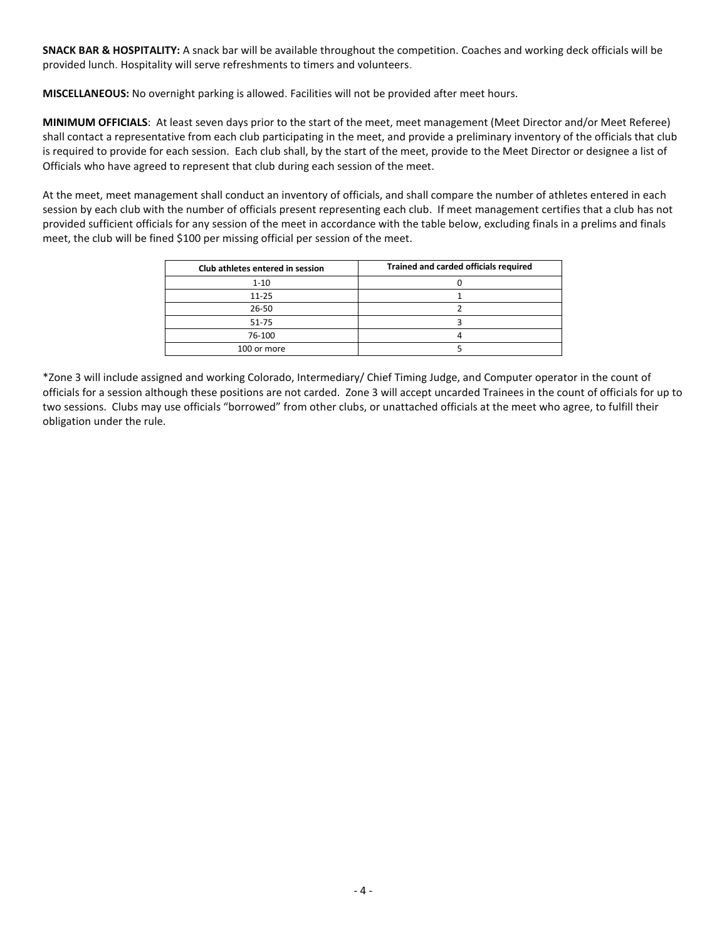**SNACK BAR & HOSPITALITY:** A snack bar will be available throughout the competition. Coaches and working deck officials will be provided lunch. Hospitality will serve refreshments to timers and volunteers.

**MISCELLANEOUS:** No overnight parking is allowed. Facilities will not be provided after meet hours.

**MINIMUM OFFICIALS**: At least seven days prior to the start of the meet, meet management (Meet Director and/or Meet Referee) shall contact a representative from each club participating in the meet, and provide a preliminary inventory of the officials that club is required to provide for each session. Each club shall, by the start of the meet, provide to the Meet Director or designee a list of Officials who have agreed to represent that club during each session of the meet.

At the meet, meet management shall conduct an inventory of officials, and shall compare the number of athletes entered in each session by each club with the number of officials present representing each club. If meet management certifies that a club has not provided sufficient officials for any session of the meet in accordance with the table below, excluding finals in a prelims and finals meet, the club will be fined \$100 per missing official per session of the meet.

| Club athletes entered in session | Trained and carded officials required |  |  |  |  |  |
|----------------------------------|---------------------------------------|--|--|--|--|--|
| $1 - 10$                         |                                       |  |  |  |  |  |
| $11 - 25$                        |                                       |  |  |  |  |  |
| 26-50                            |                                       |  |  |  |  |  |
| 51-75                            |                                       |  |  |  |  |  |
| 76-100                           |                                       |  |  |  |  |  |
| 100 or more                      |                                       |  |  |  |  |  |

\*Zone 3 will include assigned and working Colorado, Intermediary/ Chief Timing Judge, and Computer operator in the count of officials for a session although these positions are not carded. Zone 3 will accept uncarded Trainees in the count of officials for up to two sessions. Clubs may use officials "borrowed" from other clubs, or unattached officials at the meet who agree, to fulfill their obligation under the rule.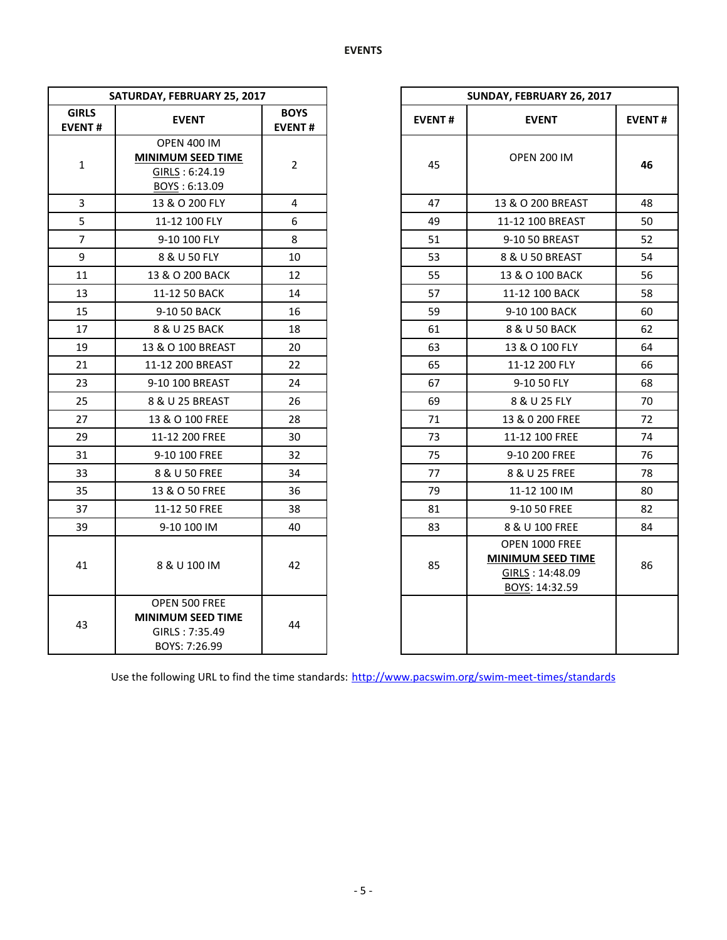| SATURDAY, FEBRUARY 25, 2017   |                                                                                     |                              |               | SUNDAY, FEBRUARY 26, 2017                                                       |             |  |  |  |
|-------------------------------|-------------------------------------------------------------------------------------|------------------------------|---------------|---------------------------------------------------------------------------------|-------------|--|--|--|
| <b>GIRLS</b><br><b>EVENT#</b> | <b>EVENT</b>                                                                        | <b>BOYS</b><br><b>EVENT#</b> | <b>EVENT#</b> | <b>EVENT</b>                                                                    | <b>EVEN</b> |  |  |  |
| $\mathbf{1}$                  | <b>OPEN 400 IM</b><br><b>MINIMUM SEED TIME</b><br>GIRLS: 6:24.19<br>BOYS: 6:13.09   | $\overline{2}$               | 45            | <b>OPEN 200 IM</b>                                                              | 46          |  |  |  |
| 3                             | 13 & O 200 FLY                                                                      | 4                            | 47            | 13 & O 200 BREAST                                                               | 48          |  |  |  |
| 5                             | 11-12 100 FLY                                                                       | 6                            | 49            | 11-12 100 BREAST                                                                | 50          |  |  |  |
| $\overline{7}$                | 9-10 100 FLY                                                                        | 8                            | 51            | 9-10 50 BREAST                                                                  | 52          |  |  |  |
| 9                             | 8 & U 50 FLY                                                                        | 10                           | 53            | 8 & U 50 BREAST                                                                 | 54          |  |  |  |
| 11                            | 13 & O 200 BACK                                                                     | 12                           | 55            | 13 & O 100 BACK                                                                 | 56          |  |  |  |
| 13                            | 11-12 50 BACK                                                                       | 14                           | 57            | 11-12 100 BACK                                                                  | 58          |  |  |  |
| 15                            | 9-10 50 BACK                                                                        | 16                           | 59            | 9-10 100 BACK                                                                   | 60          |  |  |  |
| 17                            | 8 & U 25 BACK                                                                       | 18                           | 61            | 8 & U 50 BACK                                                                   | 62          |  |  |  |
| 19                            | 13 & O 100 BREAST                                                                   | 20                           | 63            | 13 & O 100 FLY                                                                  | 64          |  |  |  |
| 21                            | 11-12 200 BREAST                                                                    | 22                           | 65            | 11-12 200 FLY                                                                   | 66          |  |  |  |
| 23                            | 9-10 100 BREAST                                                                     | 24                           | 67            | 9-10 50 FLY                                                                     | 68          |  |  |  |
| 25                            | 8 & U 25 BREAST                                                                     | 26                           | 69            | 8 & U 25 FLY                                                                    | 70          |  |  |  |
| 27                            | 13 & O 100 FREE                                                                     | 28                           | 71            | 13 & 0 200 FREE                                                                 | 72          |  |  |  |
| 29                            | 11-12 200 FREE                                                                      | 30                           | 73            | 11-12 100 FREE                                                                  | 74          |  |  |  |
| 31                            | 9-10 100 FREE                                                                       | 32                           | 75            | 9-10 200 FREE                                                                   | 76          |  |  |  |
| 33                            | 8 & U 50 FREE                                                                       | 34                           | 77            | 8 & U 25 FREE                                                                   | 78          |  |  |  |
| 35                            | 13 & O 50 FREE                                                                      | 36                           | 79            | 11-12 100 IM                                                                    | 80          |  |  |  |
| 37                            | 11-12 50 FREE                                                                       | 38                           | 81            | 9-10 50 FREE                                                                    | 82          |  |  |  |
| 39                            | 9-10 100 IM                                                                         | 40                           | 83            | 8 & U 100 FREE                                                                  | 84          |  |  |  |
| 41                            | 8 & U 100 IM                                                                        | 42                           | 85            | OPEN 1000 FREE<br><b>MINIMUM SEED TIME</b><br>GIRLS: 14:48.09<br>BOYS: 14:32.59 | 86          |  |  |  |
| 43                            | <b>OPEN 500 FREE</b><br><b>MINIMUM SEED TIME</b><br>GIRLS: 7:35.49<br>BOYS: 7:26.99 | 44                           |               |                                                                                 |             |  |  |  |

|                   | SATURDAY, FEBRUARY 25, 2017                                                         |                              |  |
|-------------------|-------------------------------------------------------------------------------------|------------------------------|--|
| <b>RLS</b><br>NT# | <b>EVENT</b>                                                                        | <b>BOYS</b><br><b>EVENT#</b> |  |
| 1                 | <b>OPEN 400 IM</b><br><b>MINIMUM SEED TIME</b><br>GIRLS: 6:24.19<br>BOYS: 6:13.09   | $\overline{2}$               |  |
| 3                 | 13 & O 200 FLY                                                                      | 4                            |  |
| 5                 | 11-12 100 FLY                                                                       | 6                            |  |
| $\overline{7}$    | 9-10 100 FLY                                                                        | 8                            |  |
| 9                 | 8 & U 50 FLY                                                                        | 10                           |  |
| $\overline{1}$    | 13 & O 200 BACK                                                                     | 12                           |  |
| L3                | 11-12 50 BACK                                                                       | 14                           |  |
| L5                | 9-10 50 BACK                                                                        | 16                           |  |
| $\overline{17}$   | 8 & U 25 BACK                                                                       | 18                           |  |
| L9                | 13 & O 100 BREAST                                                                   | 20                           |  |
| $\overline{21}$   | 11-12 200 BREAST                                                                    | 22                           |  |
| $^{23}$           | 9-10 100 BREAST                                                                     | 24                           |  |
| 25                | 8 & U 25 BREAST                                                                     | 26                           |  |
| 27                | 13 & O 100 FREE                                                                     | 28                           |  |
| 29                | 11-12 200 FREE                                                                      | 30                           |  |
| 31                | 9-10 100 FREE                                                                       | 32                           |  |
| 33                | 8 & U 50 FREE                                                                       | 34                           |  |
| 35 <sub>2</sub>   | 13 & O 50 FREE                                                                      | 36                           |  |
| 37                | 11-12 50 FREE                                                                       | 38                           |  |
| 39                | 9-10 100 IM                                                                         | 40                           |  |
| 11                | 8 & U 100 IM                                                                        | 42                           |  |
| 13                | <b>OPEN 500 FREE</b><br><b>MINIMUM SEED TIME</b><br>GIRLS: 7:35.49<br>BOYS: 7:26.99 | 44                           |  |

Use the following URL to find the time standards: <http://www.pacswim.org/swim-meet-times/standards>